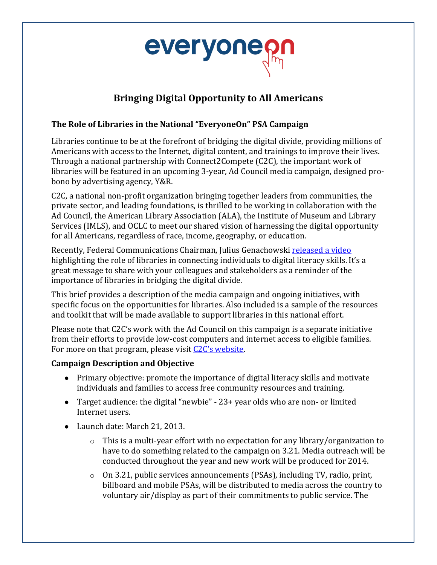

# **Bringing Digital Opportunity to All Americans**

### **The Role of Libraries in the National "EveryoneOn" PSA Campaign**

Libraries continue to be at the forefront of bridging the digital divide, providing millions of Americans with access to the Internet, digital content, and trainings to improve their lives. Through a national partnership with  $Connect2Compute$  (C2C), the important work of libraries will be featured in an upcoming 3-year, Ad Council media campaign, designed probono by advertising agency, Y&R.

C2C, a national non-profit organization bringing together leaders from communities, the private sector, and leading foundations, is thrilled to be working in collaboration with the Ad Council, the American Library Association (ALA), the Institute of Museum and Library Services (IMLS), and OCLC to meet our shared vision of harnessing the digital opportunity for all Americans, regardless of race, income, geography, or education.

Recently, Federal Communications Chairman, Julius Genachowski released a video highlighting the role of libraries in connecting individuals to digital literacy skills. It's a great message to share with your colleagues and stakeholders as a reminder of the importance of libraries in bridging the digital divide.

This brief provides a description of the media campaign and ongoing initiatives, with specific focus on the opportunities for libraries. Also included is a sample of the resources and toolkit that will be made available to support libraries in this national effort.

Please note that  $C2C'$ 's work with the Ad Council on this campaign is a separate initiative from their efforts to provide low-cost computers and internet access to eligible families. For more on that program, please visit C<sub>2C's</sub> website.

### **Campaign Description and Objective**

- Primary objective: promote the importance of digital literacy skills and motivate individuals and families to access free community resources and training.
- Target audience: the digital "newbie" 23+ year olds who are non- or limited Internet users.
- Launch date: March 21, 2013.
	- $\circ$  This is a multi-year effort with no expectation for any library/organization to have to do something related to the campaign on 3.21. Media outreach will be conducted throughout the year and new work will be produced for 2014.
	- $\circ$  On 3.21, public services announcements (PSAs), including TV, radio, print, billboard and mobile PSAs, will be distributed to media across the country to voluntary air/display as part of their commitments to public service. The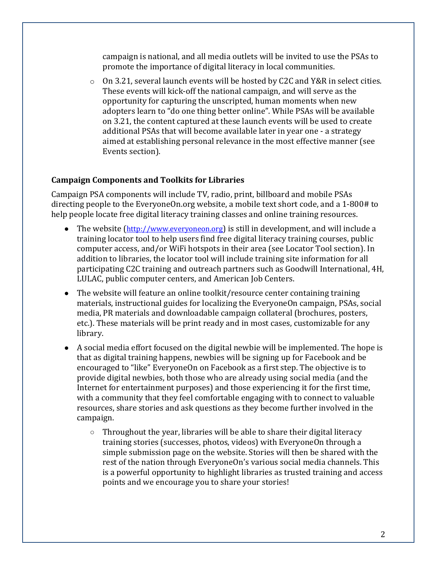campaign is national, and all media outlets will be invited to use the PSAs to promote the importance of digital literacy in local communities.

 $\circ$  On 3.21, several launch events will be hosted by C2C and Y&R in select cities. These events will kick-off the national campaign, and will serve as the opportunity for capturing the unscripted, human moments when new adopters learn to "do one thing better online". While PSAs will be available on 3.21, the content captured at these launch events will be used to create additional PSAs that will become available later in year one - a strategy aimed at establishing personal relevance in the most effective manner (see Events section).

#### **Campaign Components and Toolkits for Libraries**

Campaign PSA components will include TV, radio, print, billboard and mobile PSAs directing people to the EveryoneOn.org website, a mobile text short code, and a 1-800# to help people locate free digital literacy training classes and online training resources.

- The website (http://www.everyoneon.org) is still in development, and will include a training locator tool to help users find free digital literacy training courses, public computer access, and/or WiFi hotspots in their area (see Locator Tool section). In addition to libraries, the locator tool will include training site information for all participating C2C training and outreach partners such as Goodwill International, 4H, LULAC, public computer centers, and American Job Centers.
- The website will feature an online toolkit/resource center containing training materials, instructional guides for localizing the EveryoneOn campaign, PSAs, social media, PR materials and downloadable campaign collateral (brochures, posters, etc.). These materials will be print ready and in most cases, customizable for any library.
- A social media effort focused on the digital newbie will be implemented. The hope is that as digital training happens, newbies will be signing up for Facebook and be encouraged to "like" EveryoneOn on Facebook as a first step. The objective is to provide digital newbies, both those who are already using social media (and the Internet for entertainment purposes) and those experiencing it for the first time, with a community that they feel comfortable engaging with to connect to valuable resources, share stories and ask questions as they become further involved in the campaign.
	- $\circ$  Throughout the year, libraries will be able to share their digital literacy training stories (successes, photos, videos) with EveryoneOn through a simple submission page on the website. Stories will then be shared with the rest of the nation through EveryoneOn's various social media channels. This is a powerful opportunity to highlight libraries as trusted training and access points and we encourage you to share your stories!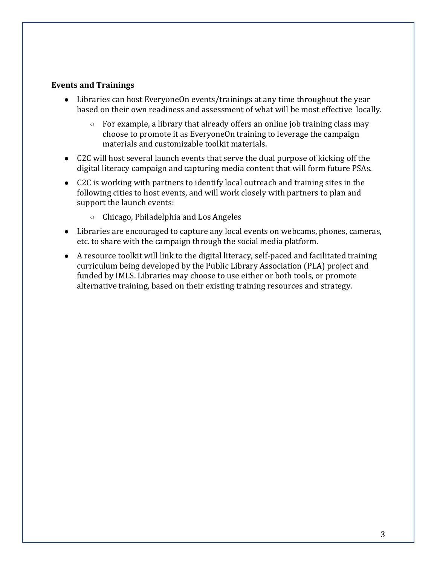#### **Events and Trainings**

- Libraries can host EveryoneOn events/trainings at any time throughout the year based on their own readiness and assessment of what will be most effective locally.
	- $\circ$  For example, a library that already offers an online job training class may choose to promote it as EveryoneOn training to leverage the campaign materials and customizable toolkit materials.
- C2C will host several launch events that serve the dual purpose of kicking off the digital literacy campaign and capturing media content that will form future PSAs.
- C2C is working with partners to identify local outreach and training sites in the following cities to host events, and will work closely with partners to plan and support the launch events:
	- $\circ$  Chicago, Philadelphia and Los Angeles
- Libraries are encouraged to capture any local events on webcams, phones, cameras, etc. to share with the campaign through the social media platform.
- $\bullet$  A resource toolkit will link to the digital literacy, self-paced and facilitated training curriculum being developed by the Public Library Association (PLA) project and funded by IMLS. Libraries may choose to use either or both tools, or promote alternative training, based on their existing training resources and strategy.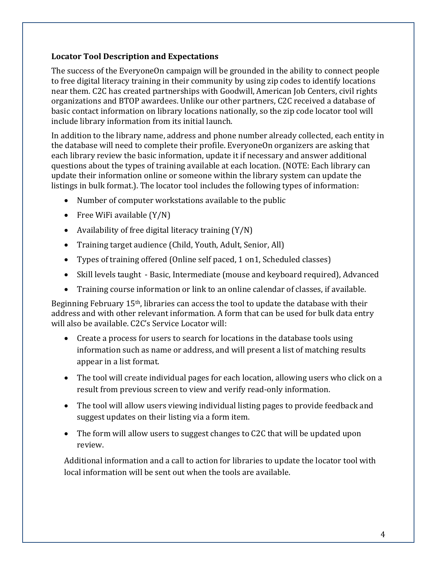### **Locator Tool Description and Expectations**

The success of the EveryoneOn campaign will be grounded in the ability to connect people to free digital literacy training in their community by using zip codes to identify locations near them. C2C has created partnerships with Goodwill, American Job Centers, civil rights organizations and BTOP awardees. Unlike our other partners, C2C received a database of basic contact information on library locations nationally, so the zip code locator tool will include library information from its initial launch.

In addition to the library name, address and phone number already collected, each entity in the database will need to complete their profile. EveryoneOn organizers are asking that each library review the basic information, update it if necessary and answer additional questions about the types of training available at each location. (NOTE: Each library can update their information online or someone within the library system can update the listings in bulk format.). The locator tool includes the following types of information:

- $\bullet$  Number of computer workstations available to the public
- Free WiFi available  $(Y/N)$
- Availability of free digital literacy training  $(Y/N)$
- Training target audience (Child, Youth, Adult, Senior, All)
- Types of training offered (Online self paced, 1 on 1, Scheduled classes)
- Skill levels taught Basic, Intermediate (mouse and keyboard required), Advanced
- Training course information or link to an online calendar of classes, if available.

Beginning February  $15<sup>th</sup>$ , libraries can access the tool to update the database with their address and with other relevant information. A form that can be used for bulk data entry will also be available. C2C's Service Locator will:

- Create a process for users to search for locations in the database tools using information such as name or address, and will present a list of matching results appear in a list format.
- The tool will create individual pages for each location, allowing users who click on a result from previous screen to view and verify read-only information.
- The tool will allow users viewing individual listing pages to provide feedback and suggest updates on their listing via a form item.
- The form will allow users to suggest changes to C2C that will be updated upon review.

Additional information and a call to action for libraries to update the locator tool with local information will be sent out when the tools are available.